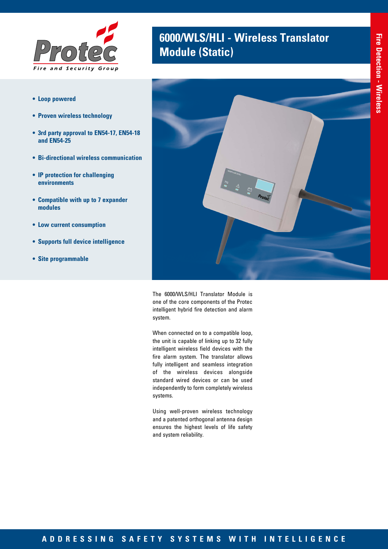

- **• Loop powered**
- **• Proven wireless technology**
- **• 3rd party approval to EN54-17, EN54-18 and EN54-25**
- **• Bi-directional wireless communication**
- **• IP protection for challenging environments**
- **• Compatible with up to 7 expander modules**
- **• Low current consumption**
- **• Supports full device intelligence**
- **• Site programmable**





The 6000/WLS/HLI Translator Module is one of the core components of the Protec intelligent hybrid fire detection and alarm system.

When connected on to a compatible loop, the unit is capable of linking up to 32 fully intelligent wireless field devices with the fire alarm system. The translator allows fully intelligent and seamless integration of the wireless devices alongside standard wired devices or can be used independently to form completely wireless systems.

Using well-proven wireless technology and a patented orthogonal antenna design ensures the highest levels of life safety and system reliability.